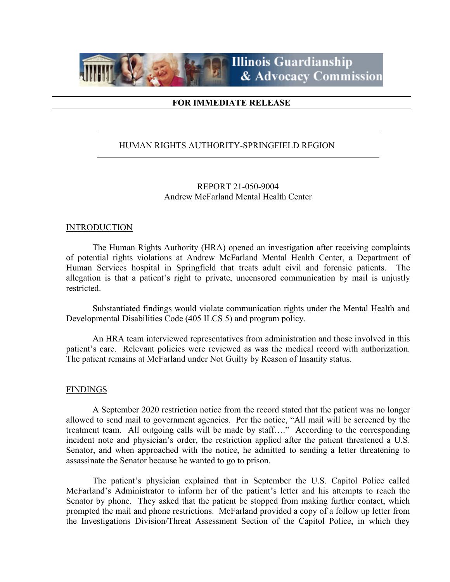

# **FOR IMMEDIATE RELEASE**

# HUMAN RIGHTS AUTHORITY-SPRINGFIELD REGION

REPORT 21-050-9004 Andrew McFarland Mental Health Center

### **INTRODUCTION**

The Human Rights Authority (HRA) opened an investigation after receiving complaints of potential rights violations at Andrew McFarland Mental Health Center, a Department of Human Services hospital in Springfield that treats adult civil and forensic patients. The allegation is that a patient's right to private, uncensored communication by mail is unjustly restricted.

Substantiated findings would violate communication rights under the Mental Health and Developmental Disabilities Code (405 ILCS 5) and program policy.

An HRA team interviewed representatives from administration and those involved in this patient's care. Relevant policies were reviewed as was the medical record with authorization. The patient remains at McFarland under Not Guilty by Reason of Insanity status.

### FINDINGS

A September 2020 restriction notice from the record stated that the patient was no longer allowed to send mail to government agencies. Per the notice, "All mail will be screened by the treatment team. All outgoing calls will be made by staff…." According to the corresponding incident note and physician's order, the restriction applied after the patient threatened a U.S. Senator, and when approached with the notice, he admitted to sending a letter threatening to assassinate the Senator because he wanted to go to prison.

The patient's physician explained that in September the U.S. Capitol Police called McFarland's Administrator to inform her of the patient's letter and his attempts to reach the Senator by phone. They asked that the patient be stopped from making further contact, which prompted the mail and phone restrictions. McFarland provided a copy of a follow up letter from the Investigations Division/Threat Assessment Section of the Capitol Police, in which they